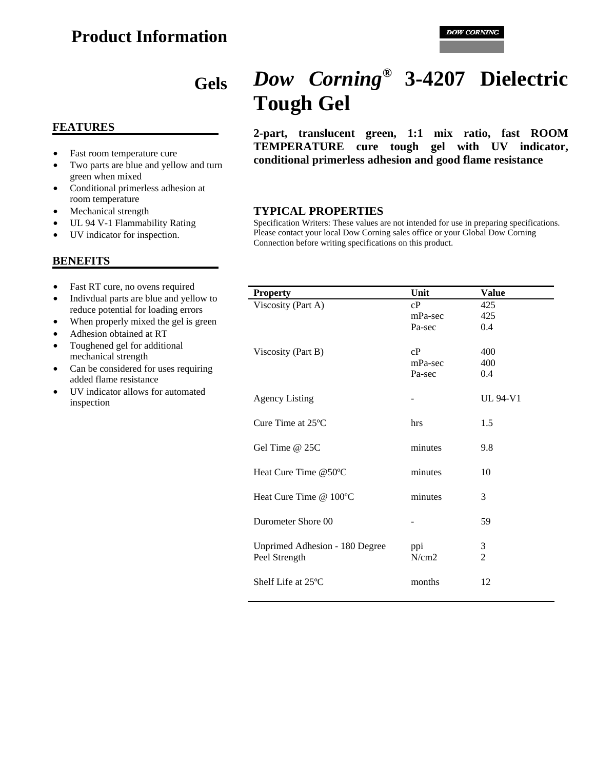# **Product Information**

# **Gels**

#### **FEATURES**

- Fast room temperature cure
- Two parts are blue and yellow and turn green when mixed
- Conditional primerless adhesion at room temperature
- Mechanical strength
- UL 94 V-1 Flammability Rating
- UV indicator for inspection.

#### **BENEFITS**

- Fast RT cure, no ovens required
- Indivdual parts are blue and yellow to reduce potential for loading errors
- When properly mixed the gel is green
- Adhesion obtained at RT
- Toughened gel for additional mechanical strength
- Can be considered for uses requiring added flame resistance
- UV indicator allows for automated inspection

# *Dow Corning***® 3-4207 Dielectric Tough Gel**

**2-part, translucent green, 1:1 mix ratio, fast ROOM TEMPERATURE cure tough gel with UV indicator, conditional primerless adhesion and good flame resistance**

#### **TYPICAL PROPERTIES**

Specification Writers: These values are not intended for use in preparing specifications. Please contact your local Dow Corning sales office or your Global Dow Corning Connection before writing specifications on this product.

| <b>Property</b>                | Unit    | <b>Value</b>    |
|--------------------------------|---------|-----------------|
| Viscosity (Part A)             | cP      | 425             |
|                                | mPa-sec | 425             |
|                                | Pa-sec  | 0.4             |
|                                |         |                 |
| Viscosity (Part B)             | cP      | 400             |
|                                | mPa-sec | 400             |
|                                | Pa-sec  | 0.4             |
|                                |         |                 |
| <b>Agency Listing</b>          |         | <b>UL 94-V1</b> |
|                                |         |                 |
| Cure Time at 25°C              | hrs     | 1.5             |
|                                |         |                 |
| Gel Time $@25C$                | minutes | 9.8             |
|                                |         |                 |
| Heat Cure Time @50°C           | minutes | 10              |
|                                |         |                 |
| Heat Cure Time @ 100°C         | minutes | 3               |
|                                |         |                 |
| Durometer Shore 00             |         | 59              |
|                                |         |                 |
| Unprimed Adhesion - 180 Degree | ppi     | 3               |
| Peel Strength                  | N/cm2   | $\overline{2}$  |
|                                |         |                 |
| Shelf Life at 25°C             | months  | 12              |
|                                |         |                 |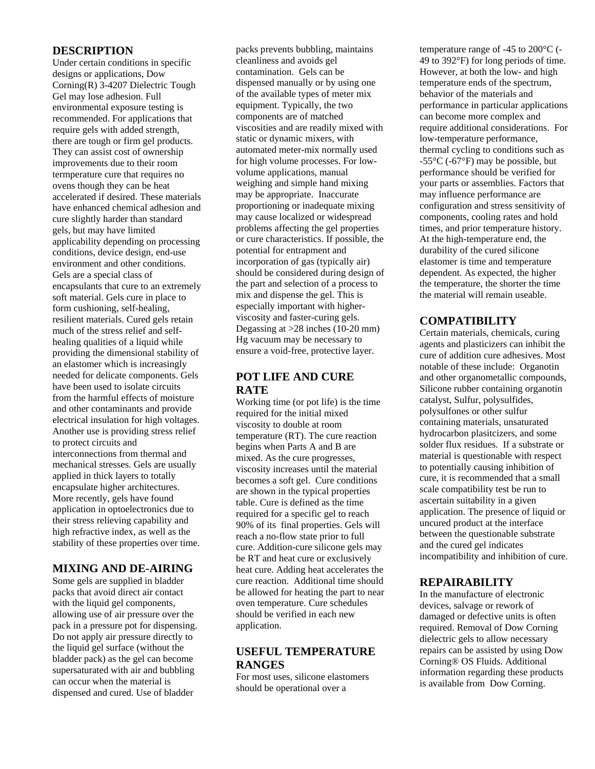#### **DESCRIPTION**

Under certain conditions in specific designs or applications, Dow Corning(R) 3-4207 Dielectric Tough Gel may lose adhesion. Full environmental exposure testing is recommended. For applications that require gels with added strength, there are tough or firm gel products. They can assist cost of ownership improvements due to their room termperature cure that requires no ovens though they can be heat accelerated if desired. These materials have enhanced chemical adhesion and cure slightly harder than standard gels, but may have limited applicability depending on processing conditions, device design, end-use environment and other conditions. Gels are a special class of encapsulants that cure to an extremely soft material. Gels cure in place to form cushioning, self-healing, resilient materials. Cured gels retain much of the stress relief and selfhealing qualities of a liquid while providing the dimensional stability of an elastomer which is increasingly needed for delicate components. Gels have been used to isolate circuits from the harmful effects of moisture and other contaminants and provide electrical insulation for high voltages. Another use is providing stress relief to protect circuits and interconnections from thermal and mechanical stresses. Gels are usually applied in thick layers to totally encapsulate higher architectures. More recently, gels have found application in optoelectronics due to their stress relieving capability and high refractive index, as well as the stability of these properties over time.

#### **MIXING AND DE-AIRING**

Some gels are supplied in bladder packs that avoid direct air contact with the liquid gel components, allowing use of air pressure over the pack in a pressure pot for dispensing. Do not apply air pressure directly to the liquid gel surface (without the bladder pack) as the gel can become supersaturated with air and bubbling can occur when the material is dispensed and cured. Use of bladder

packs prevents bubbling, maintains cleanliness and avoids gel contamination. Gels can be dispensed manually or by using one of the available types of meter mix equipment. Typically, the two components are of matched viscosities and are readily mixed with static or dynamic mixers, with automated meter-mix normally used for high volume processes. For lowvolume applications, manual weighing and simple hand mixing may be appropriate. Inaccurate proportioning or inadequate mixing may cause localized or widespread problems affecting the gel properties or cure characteristics. If possible, the potential for entrapment and incorporation of gas (typically air) should be considered during design of the part and selection of a process to mix and dispense the gel. This is especially important with higherviscosity and faster-curing gels. Degassing at >28 inches (10-20 mm) Hg vacuum may be necessary to ensure a void-free, protective layer.

# **POT LIFE AND CURE RATE**

Working time (or pot life) is the time required for the initial mixed viscosity to double at room temperature (RT). The cure reaction begins when Parts A and B are mixed. As the cure progresses, viscosity increases until the material becomes a soft gel. Cure conditions are shown in the typical properties table. Cure is defined as the time required for a specific gel to reach 90% of its final properties. Gels will reach a no-flow state prior to full cure. Addition-cure silicone gels may be RT and heat cure or exclusively heat cure. Adding heat accelerates the cure reaction. Additional time should be allowed for heating the part to near oven temperature. Cure schedules should be verified in each new application.

#### **USEFUL TEMPERATURE RANGES**

For most uses, silicone elastomers should be operational over a

temperature range of -45 to 200°C (- 49 to 392°F) for long periods of time. However, at both the low- and high temperature ends of the spectrum, behavior of the materials and performance in particular applications can become more complex and require additional considerations. For low-temperature performance, thermal cycling to conditions such as -55°C (-67°F) may be possible, but performance should be verified for your parts or assemblies. Factors that may influence performance are configuration and stress sensitivity of components, cooling rates and hold times, and prior temperature history. At the high-temperature end, the durability of the cured silicone elastomer is time and temperature dependent. As expected, the higher the temperature, the shorter the time the material will remain useable.

# **COMPATIBILITY**

Certain materials, chemicals, curing agents and plasticizers can inhibit the cure of addition cure adhesives. Most notable of these include: Organotin and other organometallic compounds, Silicone rubber containing organotin catalyst, Sulfur, polysulfides, polysulfones or other sulfur containing materials, unsaturated hydrocarbon plasitcizers, and some solder flux residues. If a substrate or material is questionable with respect to potentially causing inhibition of cure, it is recommended that a small scale compatibility test be run to ascertain suitability in a given application. The presence of liquid or uncured product at the interface between the questionable substrate and the cured gel indicates incompatibility and inhibition of cure.

#### **REPAIRABILITY**

In the manufacture of electronic devices, salvage or rework of damaged or defective units is often required. Removal of Dow Corning dielectric gels to allow necessary repairs can be assisted by using Dow Corning® OS Fluids. Additional information regarding these products is available from Dow Corning.